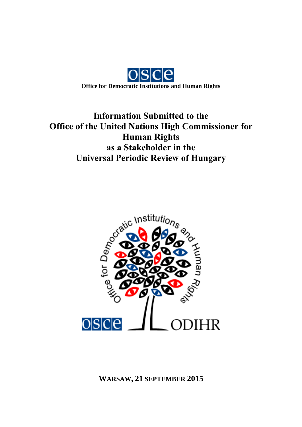

# **Information Submitted to the Office of the United Nations High Commissioner for Human Rights as a Stakeholder in the Universal Periodic Review of Hungary**

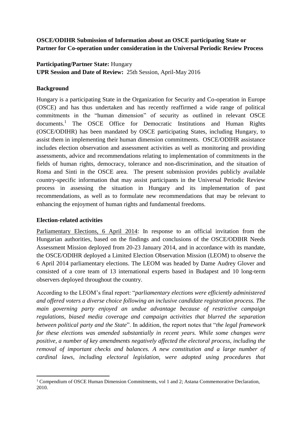## **OSCE/ODIHR Submission of Information about an OSCE participating State or Partner for Co-operation under consideration in the Universal Periodic Review Process**

## **Participating/Partner State:** Hungary

**UPR Session and Date of Review:** 25th Session, April-May 2016

## **Background**

Hungary is a participating State in the Organization for Security and Co-operation in Europe (OSCE) and has thus undertaken and has recently reaffirmed a wide range of political commitments in the "human dimension" of security as outlined in relevant OSCE documents.<sup>1</sup> The OSCE Office for Democratic Institutions and Human Rights (OSCE/ODIHR) has been mandated by OSCE participating States, including Hungary, to assist them in implementing their human dimension commitments. OSCE/ODIHR assistance includes election observation and assessment activities as well as monitoring and providing assessments, advice and recommendations relating to implementation of commitments in the fields of human rights, democracy, tolerance and non-discrimination, and the situation of Roma and Sinti in the OSCE area. The present submission provides publicly available country-specific information that may assist participants in the Universal Periodic Review process in assessing the situation in Hungary and its implementation of past recommendations, as well as to formulate new recommendations that may be relevant to enhancing the enjoyment of human rights and fundamental freedoms.

#### **Election-related activities**

Parliamentary Elections, 6 April 2014: In response to an official invitation from the Hungarian authorities, based on the findings and conclusions of the OSCE/ODIHR Needs Assessment Mission deployed from 20-23 January 2014, and in accordance with its mandate, the OSCE/ODIHR deployed a Limited Election Observation Mission (LEOM) to observe the 6 April 2014 parliamentary elections. The LEOM was headed by Dame Audrey Glover and consisted of a core team of 13 international experts based in Budapest and 10 long-term observers deployed throughout the country.

According to the LEOM's final report: "*parliamentary elections were efficiently administered and offered voters a diverse choice following an inclusive candidate registration process. The main governing party enjoyed an undue advantage because of restrictive campaign regulations, biased media coverage and campaign activities that blurred the separation between political party and the State*". In addition, the report notes that "*the legal framework for these elections was amended substantially in recent years. While some changes were positive, a number of key amendments negatively affected the electoral process, including the removal of important checks and balances. A new constitution and a large number of cardinal laws, including electoral legislation, were adopted using procedures that* 

**<sup>.</sup>** <sup>1</sup> Compendium of OSCE Human Dimension Commitments, vol 1 and 2; Astana Commemorative Declaration, 2010.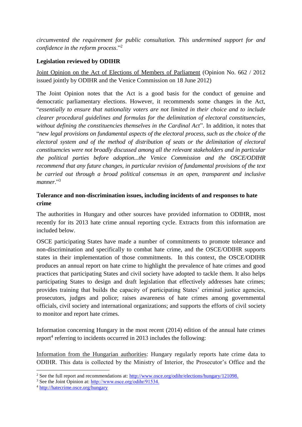*circumvented the requirement for public consultation. This undermined support for and confidence in the reform process*."<sup>2</sup>

#### **Legislation reviewed by ODIHR**

Joint Opinion on the Act of Elections of Members of Parliament (Opinion No. 662 / 2012 issued jointly by ODIHR and the Venice Commission on 18 June 2012)

The Joint Opinion notes that the Act is a good basis for the conduct of genuine and democratic parliamentary elections. However, it recommends some changes in the Act, "*essentially to ensure that nationality voters are not limited in their choice and to include clearer procedural guidelines and formulas for the delimitation of electoral constituencies, without defining the constituencies themselves in the Cardinal Act*". In addition, it notes that "*new legal provisions on fundamental aspects of the electoral process, such as the choice of the electoral system and of the method of distribution of seats or the delimitation of electoral constituencies were not broadly discussed among all the relevant stakeholders and in particular the political parties before adoption...the Venice Commission and the OSCE/ODIHR recommend that any future changes, in particular revision of fundamental provisions of the text be carried out through a broad political consensus in an open, transparent and inclusive*  manner<sup>"3</sup>

## **Tolerance and non-discrimination issues, including incidents of and responses to hate crime**

The authorities in Hungary and other sources have provided information to ODIHR, most recently for its 2013 hate crime annual reporting cycle. Extracts from this information are included below.

OSCE participating States have made a number of commitments to promote tolerance and non-discrimination and specifically to combat hate crime, and the OSCE/ODIHR supports states in their implementation of those commitments. In this context, the OSCE/ODIHR produces an annual report on hate crime to highlight the prevalence of hate crimes and good practices that participating States and civil society have adopted to tackle them. It also helps participating States to design and draft legislation that effectively addresses hate crimes; provides training that builds the capacity of participating States' criminal justice agencies, prosecutors, judges and police; raises awareness of hate crimes among governmental officials, civil society and international organizations; and supports the efforts of civil society to monitor and report hate crimes.

Information concerning Hungary in the most recent (2014) edition of the annual hate crimes report<sup>4</sup> referring to incidents occurred in 2013 includes the following:

Information from the Hungarian authorities: Hungary regularly reports hate crime data to ODIHR. This data is collected by the Ministry of Interior, the Prosecutor's Office and the

<sup>1</sup> <sup>2</sup> See the full report and recommendations at: [http://www.osce.org/odihr/elections/hungary/121098.](http://www.osce.org/odihr/elections/hungary/121098)

<sup>3</sup> See the Joint Opinion at: [http://www.osce.org/odihr/91534.](http://www.osce.org/odihr/91534)

<sup>4</sup> <http://hatecrime.osce.org/hungary>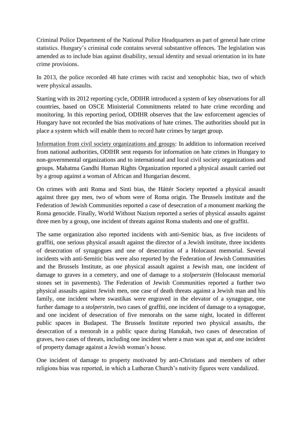Criminal Police Department of the National Police Headquarters as part of general hate crime statistics. Hungary's criminal code contains several substantive offences. The legislation was amended as to include bias against disability, sexual identity and sexual orientation in its hate crime provisions.

In 2013, the police recorded 48 hate crimes with racist and xenophobic bias, two of which were physical assaults.

Starting with its 2012 reporting cycle, ODIHR introduced a system of key observations for all countries, based on OSCE Ministerial Commitments related to hate crime recording and monitoring. In this reporting period, ODIHR observes that the law enforcement agencies of Hungary have not recorded the bias motivations of hate crimes. The authorities should put in place a system which will enable them to record hate crimes by target group.

Information from civil society organizations and groups: In addition to information received from national authorities, ODIHR sent requests for information on hate crimes in Hungary to non-governmental organizations and to international and local civil society organizations and groups. Mahatma Gandhi Human Rights Organization reported a physical assault carried out by a group against a woman of African and Hungarian descent.

On crimes with anti Roma and Sinti bias, the Háttér Society reported a physical assault against three gay men, two of whom were of Roma origin. The Brussels institute and the Federation of Jewish Communities reported a case of desecration of a monument marking the Roma genocide. Finally, World Without Nazism reported a series of physical assaults against three men by a group, one incident of threats against Roma students and one of graffiti.

The same organization also reported incidents with anti-Semitic bias, as five incidents of graffiti, one serious physical assault against the director of a Jewish institute, three incidents of desecration of synagogues and one of desecration of a Holocaust memorial. Several incidents with anti-Semitic bias were also reported by the Federation of Jewish Communities and the Brussels Institute, as one physical assault against a Jewish man, one incident of damage to graves in a cemetery, and one of damage to a *stolperstein* (Holocaust memorial stones set in pavements). The Federation of Jewish Communities reported a further two physical assaults against Jewish men, one case of death threats against a Jewish man and his family, one incident where swastikas were engraved in the elevator of a synagogue, one further damage to a *stolperstein*, two cases of graffiti, one incident of damage to a synagogue, and one incident of desecration of five menorahs on the same night, located in different public spaces in Budapest. The Brussels Institute reported two physical assaults, the desecration of a menorah in a public space during Hanukah, two cases of desecration of graves, two cases of threats, including one incident where a man was spat at, and one incident of property damage against a Jewish woman's house.

One incident of damage to property motivated by anti-Christians and members of other religions bias was reported, in which a Lutheran Church's nativity figures were vandalized.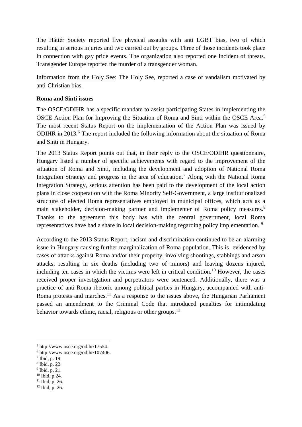The Háttér Society reported five physical assaults with anti LGBT bias, two of which resulting in serious injuries and two carried out by groups. Three of those incidents took place in connection with gay pride events. The organization also reported one incident of threats. Transgender Europe reported the murder of a transgender woman.

Information from the Holy See: The Holy See, reported a case of vandalism motivated by anti-Christian bias.

#### **Roma and Sinti issues**

The OSCE/ODIHR has a specific mandate to assist participating States in implementing the OSCE Action Plan for Improving the Situation of Roma and Sinti within the OSCE Area.<sup>5</sup> The most recent Status Report on the implementation of the Action Plan was issued by ODIHR in 2013.<sup>6</sup> The report included the following information about the situation of Roma and Sinti in Hungary.

The 2013 Status Report points out that, in their reply to the OSCE/ODIHR questionnaire, Hungary listed a number of specific achievements with regard to the improvement of the situation of Roma and Sinti, including the development and adoption of National Roma Integration Strategy and progress in the area of education.<sup>7</sup> Along with the National Roma Integration Strategy, serious attention has been paid to the development of the local action plans in close cooperation with the Roma Minority Self-Government, a large institutionalized structure of elected Roma representatives employed in municipal offices, which acts as a main stakeholder, decision-making partner and implementer of Roma policy measures.<sup>8</sup> Thanks to the agreement this body has with the central government, local Roma representatives have had a share in local decision-making regarding policy implementation. <sup>9</sup>

According to the 2013 Status Report, racism and discrimination continued to be an alarming issue in Hungary causing further marginalization of Roma population. This is evidenced by cases of attacks against Roma and/or their property, involving shootings, stabbings and arson attacks, resulting in six deaths (including two of minors) and leaving dozens injured, including ten cases in which the victims were left in critical condition.<sup>10</sup> However, the cases received proper investigation and perpetrators were sentenced. Additionally, there was a practice of anti-Roma rhetoric among political parties in Hungary, accompanied with anti-Roma protests and marches.<sup>11</sup> As a response to the issues above, the Hungarian Parliament passed an amendment to the Criminal Code that introduced penalties for intimidating behavior towards ethnic, racial, religious or other groups.<sup>12</sup>

 $10$  Ibid, p.24.

**<sup>.</sup>** <sup>5</sup> http://www.osce.org/odihr/17554.

<sup>6</sup> http://www.osce.org/odihr/107406.

<sup>7</sup> Ibid, p. 19.

<sup>8</sup> Ibid, p. 22.

<sup>&</sup>lt;sup>9</sup> Ibid, p. 21.

 $11$  Ibid, p. 26.

<sup>12</sup> Ibid, p. 26.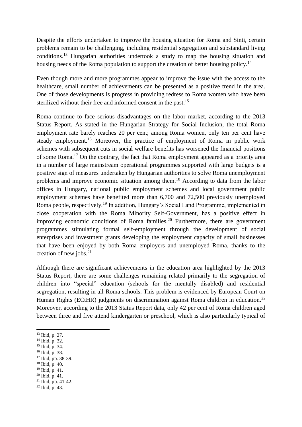Despite the efforts undertaken to improve the housing situation for Roma and Sinti, certain problems remain to be challenging, including residential segregation and substandard living conditions.<sup>13</sup> Hungarian authorities undertook a study to map the housing situation and housing needs of the Roma population to support the creation of better housing policy.<sup>14</sup>

Even though more and more programmes appear to improve the issue with the access to the healthcare, small number of achievements can be presented as a positive trend in the area. One of those developments is progress in providing redress to Roma women who have been sterilized without their free and informed consent in the past.<sup>15</sup>

Roma continue to face serious disadvantages on the labor market, according to the 2013 Status Report. As stated in the Hungarian Strategy for Social Inclusion, the total Roma employment rate barely reaches 20 per cent; among Roma women, only ten per cent have steady employment.<sup>16</sup> Moreover, the practice of employment of Roma in public work schemes with subsequent cuts in social welfare benefits has worsened the financial positions of some Roma.<sup>17</sup> On the contrary, the fact that Roma employment appeared as a priority area in a number of large mainstream operational programmes supported with large budgets is a positive sign of measures undertaken by Hungarian authorities to solve Roma unemployment problems and improve economic situation among them.<sup>18</sup> According to data from the labor offices in Hungary, national public employment schemes and local government public employment schemes have benefited more than 6,700 and 72,500 previously unemployed Roma people, respectively.<sup>19</sup> In addition, Hungary's Social Land Programme, implemented in close cooperation with the Roma Minority Self-Government, has a positive effect in improving economic conditions of Roma families.<sup>20</sup> Furthermore, there are government programmes stimulating formal self-employment through the development of social enterprises and investment grants developing the employment capacity of small businesses that have been enjoyed by both Roma employers and unemployed Roma, thanks to the creation of new jobs. $21$ 

Although there are significant achievements in the education area highlighted by the 2013 Status Report, there are some challenges remaining related primarily to the segregation of children into "special" education (schools for the mentally disabled) and residential segregation, resulting in all-Roma schools. This problem is evidenced by European Court on Human Rights (ECtHR) judgments on discrimination against Roma children in education.<sup>22</sup> Moreover, according to the 2013 Status Report data, only 42 per cent of Roma children aged between three and five attend kindergarten or preschool, which is also particularly typical of

**.** 

- <sup>16</sup> Ibid, p. 38.
- <sup>17</sup> Ibid, pp. 38-39.
- $18$  Ibid, p. 40.
- <sup>19</sup> Ibid, p. 41.
- $^{20}$  Ibid, p. 41.
- $21$  Ibid, pp. 41-42.
- $^{22}$  Ibid, p. 43.

<sup>13</sup> Ibid, p. 27.

<sup>14</sup> Ibid, p. 32.

 $15$  Ibid, p. 34.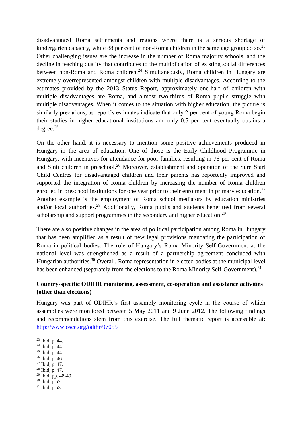disadvantaged Roma settlements and regions where there is a serious shortage of kindergarten capacity, while 88 per cent of non-Roma children in the same age group do so.<sup>23</sup> Other challenging issues are the increase in the number of Roma majority schools, and the decline in teaching quality that contributes to the multiplication of existing social differences between non-Roma and Roma children.<sup>24</sup> Simultaneously, Roma children in Hungary are extremely overrepresented amongst children with multiple disadvantages. According to the estimates provided by the 2013 Status Report, approximately one-half of children with multiple disadvantages are Roma, and almost two-thirds of Roma pupils struggle with multiple disadvantages. When it comes to the situation with higher education, the picture is similarly precarious, as report's estimates indicate that only 2 per cent of young Roma begin their studies in higher educational institutions and only 0.5 per cent eventually obtains a degree.<sup>25</sup>

On the other hand, it is necessary to mention some positive achievements produced in Hungary in the area of education. One of those is the Early Childhood Programme in Hungary, with incentives for attendance for poor families, resulting in 76 per cent of Roma and Sinti children in preschool.<sup>26</sup> Moreover, establishment and operation of the Sure Start Child Centres for disadvantaged children and their parents has reportedly improved and supported the integration of Roma children by increasing the number of Roma children enrolled in preschool institutions for one year prior to their enrolment in primary education.<sup>27</sup> Another example is the employment of Roma school mediators by education ministries and/or local authorities.<sup>28</sup> Additionally, Roma pupils and students benefitted from several scholarship and support programmes in the secondary and higher education.<sup>29</sup>

There are also positive changes in the area of political participation among Roma in Hungary that has been amplified as a result of new legal provisions mandating the participation of Roma in political bodies. The role of Hungary's Roma Minority Self-Government at the national level was strengthened as a result of a partnership agreement concluded with Hungarian authorities.<sup>30</sup> Overall, Roma representation in elected bodies at the municipal level has been enhanced (separately from the elections to the Roma Minority Self-Government).<sup>31</sup>

## **Country-specific ODIHR monitoring, assessment, co-operation and assistance activities (other than elections)**

Hungary was part of ODIHR's first assembly monitoring cycle in the course of which assemblies were monitored between 5 May 2011 and 9 June 2012. The following findings and recommendations stem from this exercise. The full thematic report is accessible at: <http://www.osce.org/odihr/97055>

 $\overline{a}$ 

- <sup>25</sup> Ibid, p. 44.
- <sup>26</sup> Ibid, p. 46.
- <sup>27</sup> Ibid, p. 47.
- $28$  Ibid, p. 47.
- <sup>29</sup> Ibid, pp. 48-49.
- $30$  Ibid, p.52.
- $31$  Ibid, p.53.

<sup>23</sup> Ibid, p. 44.

 $24$  Ibid, p. 44.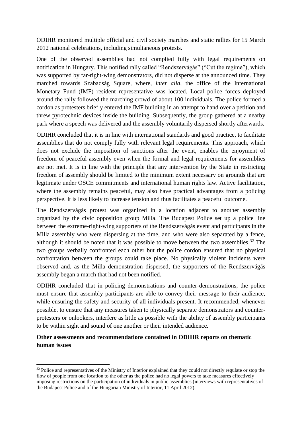ODIHR monitored multiple official and civil society marches and static rallies for 15 March 2012 national celebrations, including simultaneous protests.

One of the observed assemblies had not complied fully with legal requirements on notification in Hungary. This notified rally called "Rendszervágás" ("Cut the regime"), which was supported by far-right-wing demonstrators, did not disperse at the announced time. They marched towards Szabadság Square, where, *inter alia,* the office of the International Monetary Fund (IMF) resident representative was located. Local police forces deployed around the rally followed the marching crowd of about 100 individuals. The police formed a cordon as protesters briefly entered the IMF building in an attempt to hand over a petition and threw pyrotechnic devices inside the building. Subsequently, the group gathered at a nearby park where a speech was delivered and the assembly voluntarily dispersed shortly afterwards.

ODIHR concluded that it is in line with international standards and good practice, to facilitate assemblies that do not comply fully with relevant legal requirements. This approach, which does not exclude the imposition of sanctions after the event, enables the enjoyment of freedom of peaceful assembly even when the formal and legal requirements for assemblies are not met. It is in line with the principle that any intervention by the State in restricting freedom of assembly should be limited to the minimum extent necessary on grounds that are legitimate under OSCE commitments and international human rights law. Active facilitation, where the assembly remains peaceful, may also have practical advantages from a policing perspective. It is less likely to increase tension and thus facilitates a peaceful outcome.

The Rendszervágás protest was organized in a location adjacent to another assembly organized by the civic opposition group Milla. The Budapest Police set up a police line between the extreme-right-wing supporters of the Rendszervágás event and participants in the Milla assembly who were dispersing at the time, and who were also separated by a fence, although it should be noted that it was possible to move between the two assemblies.<sup>32</sup> The two groups verbally confronted each other but the police cordon ensured that no physical confrontation between the groups could take place. No physically violent incidents were observed and, as the Milla demonstration dispersed, the supporters of the Rendszervágás assembly began a march that had not been notified.

ODIHR concluded that in policing demonstrations and counter-demonstrations, the police must ensure that assembly participants are able to convey their message to their audience, while ensuring the safety and security of all individuals present. It recommended, whenever possible, to ensure that any measures taken to physically separate demonstrators and counterprotesters or onlookers, interfere as little as possible with the ability of assembly participants to be within sight and sound of one another or their intended audience.

## **Other assessments and recommendations contained in ODIHR reports on thematic human issues**

**.** 

 $32$  Police and representatives of the Ministry of Interior explained that they could not directly regulate or stop the flow of people from one location to the other as the police had no legal powers to take measures effectively imposing restrictions on the participation of individuals in public assemblies (interviews with representatives of the Budapest Police and of the Hungarian Ministry of Interior, 11 April 2012).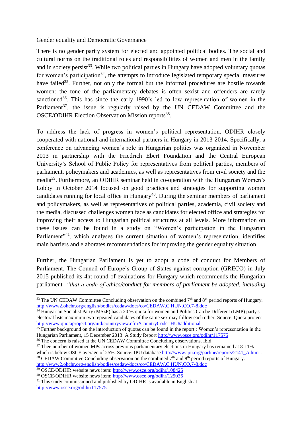#### Gender equality and Democratic Governance

There is no gender parity system for elected and appointed political bodies. The social and cultural norms on the traditional roles and responsibilities of women and men in the family and in society persist<sup>33</sup>. While two political parties in Hungary have adopted voluntary quotas for women's participation<sup>34</sup>, the attempts to introduce legislated temporary special measures have failed<sup>35</sup>. Further, not only the formal but the informal procedures are hostile towards women: the tone of the parliamentary debates is often sexist and offenders are rarely sanctioned<sup>36</sup>. This has since the early 1990's led to low representation of women in the Parliament<sup>37</sup>, the issue is regularly raised by the UN CEDAW Committee and the OSCE/ODIHR Election Observation Mission reports<sup>38</sup>.

To address the lack of progress in women's political representation, ODIHR closely cooperated with national and international partners in Hungary in 2013-2014. Specifically, a conference on advancing women's role in Hungarian politics was organized in November 2013 in partnership with the Friedrich Ebert Foundation and the Central European University's School of Public Policy for representatives from political parties, members of parliament, policymakers and academics, as well as representatives from civil society and the media<sup>39</sup>. Furthermore, an ODIHR seminar held in co-operation with the Hungarian Women's Lobby in October 2014 focused on good practices and strategies for supporting women candidates running for local office in Hungary<sup>40</sup>. During the seminar members of parliament and policymakers, as well as representatives of political parties, academia, civil society and the media, discussed challenges women face as candidates for elected office and strategies for improving their access to Hungarian political structures at all levels. More information on these issues can be found in a study on "Women's participation in the Hungarian Parliament<sup>"41</sup>, which analyses the current situation of women's representation, identifies main barriers and elaborates recommendations for improving the gender equality situation.

Further, the Hungarian Parliament is yet to adopt a code of conduct for Members of Parliament. The Council of Europe's Group of States against corruption (GRECO) in July 2015 published its 4ht round of evaluations for Hungary which recommends the Hungarian parliament *"that a code of ethics/conduct for members of parliament be adopted, including* 

**<sup>.</sup>** <sup>33</sup> The UN CEDAW Committee Concluding observation on the combined 7<sup>th</sup> and 8<sup>th</sup> period reports of Hungary. <http://www2.ohchr.org/english/bodies/cedaw/docs/co/CEDAW.C.HUN.CO.7-8.doc>

<sup>&</sup>lt;sup>34</sup> Hungarian Socialist Party (MSzP) has a 20 % quota for women and Politics Can be Different (LMP) party's electoral lists maximum two repeated candidates of the same sex may follow each other. Source: Quota project <http://www.quotaproject.org/uid/countryview.cfm?CountryCode=HU#additional>

<sup>&</sup>lt;sup>35</sup> Further background on the introduction of quotas can be found in the report : Women's representation in the Hungarian Parliament, 15 December 2013: A Study Report<http://www.osce.org/odihr/117575>

<sup>&</sup>lt;sup>36</sup> The concern is raised at the UN CEDAW Committee Concluding observations. Ibid.

 $37$  Thee number of women MPs across previous parliamentary elections in Hungary has remained at 8-11% which is below OSCE average of 25%. Source: IPU database http://www.ipu.org/parline/reports/2141 A.htm .  $38$  CEDAW Committee Concluding observation on the combined  $7<sup>th</sup>$  and  $8<sup>th</sup>$  period reports of Hungary.

<http://www2.ohchr.org/english/bodies/cedaw/docs/co/CEDAW.C.HUN.CO.7-8.doc>

<sup>39</sup> OSCE/ODIHR website news item:<http://www.osce.org/odihr/108425>

<sup>40</sup> OSCE/ODIHR website news item:<http://www.osce.org/odihr/125036>

<sup>&</sup>lt;sup>41</sup> This study commissioned and published by ODIHR is available in English at <http://www.osce.org/odihr/117575>